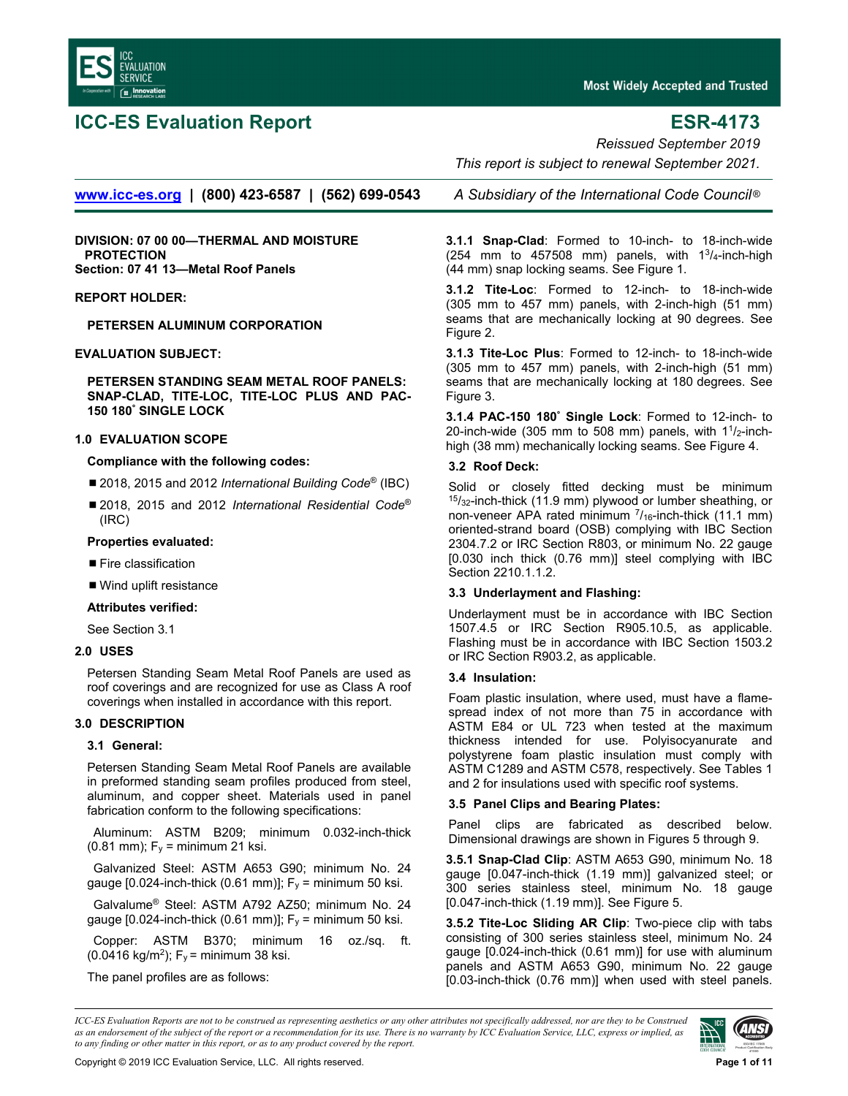

# **ICC-ES Evaluation Report ESR-4173**

**Most Widely Accepted and Trusted** 

*Reissued September 2019* 

 *This report is subject to renewal September 2021.* 

**www.icc-es.org | (800) 423-6587 | (562) 699-0543** *A Subsidiary of the International Code Council* ®

**DIVISION: 07 00 00—THERMAL AND MOISTURE PROTECTION Section: 07 41 13—Metal Roof Panels** 

### **REPORT HOLDER:**

**PETERSEN ALUMINUM CORPORATION** 

### **EVALUATION SUBJECT:**

**PETERSEN STANDING SEAM METAL ROOF PANELS: SNAP-CLAD, TITE-LOC, TITE-LOC PLUS AND PAC-150 180° SINGLE LOCK** 

### **1.0 EVALUATION SCOPE**

### **Compliance with the following codes:**

- 2018, 2015 and 2012 *International Building Code<sup>®</sup>* (IBC)
- 2018, 2015 and 2012 *International Residential Code*<sup>®</sup> (IRC)

### **Properties evaluated:**

- **Fire classification**
- Wind uplift resistance

### **Attributes verified:**

See Section 3.1

# **2.0 USES**

Petersen Standing Seam Metal Roof Panels are used as roof coverings and are recognized for use as Class A roof coverings when installed in accordance with this report.

# **3.0 DESCRIPTION**

#### **3.1 General:**

Petersen Standing Seam Metal Roof Panels are available in preformed standing seam profiles produced from steel, aluminum, and copper sheet. Materials used in panel fabrication conform to the following specifications:

Aluminum: ASTM B209; minimum 0.032-inch-thick (0.81 mm);  $F_v =$  minimum 21 ksi.

Galvanized Steel: ASTM A653 G90; minimum No. 24 gauge  $[0.024$ -inch-thick  $(0.61 \text{ mm})]$ ;  $F_y$  = minimum 50 ksi.

Galvalume® Steel: ASTM A792 AZ50; minimum No. 24 gauge [0.024-inch-thick (0.61 mm)];  $F_y$  = minimum 50 ksi.

Copper: ASTM B370; minimum 16 oz./sq. ft. (0.0416 kg/m<sup>2</sup>); F<sub>y</sub> = minimum 38 ksi.

The panel profiles are as follows:

**3.1.1 Snap-Clad**: Formed to 10-inch- to 18-inch-wide (254 mm to 457508 mm) panels, with  $1^{3}/_{4}$ -inch-high (44 mm) snap locking seams. See Figure 1.

**3.1.2 Tite-Loc**: Formed to 12-inch- to 18-inch-wide (305 mm to 457 mm) panels, with 2-inch-high (51 mm) seams that are mechanically locking at 90 degrees. See Figure 2.

**3.1.3 Tite-Loc Plus**: Formed to 12-inch- to 18-inch-wide (305 mm to 457 mm) panels, with 2-inch-high (51 mm) seams that are mechanically locking at 180 degrees. See Figure 3.

**3.1.4 PAC-150 180° Single Lock**: Formed to 12-inch- to 20-inch-wide (305 mm to 508 mm) panels, with  $11/2$ -inchhigh (38 mm) mechanically locking seams. See Figure 4.

### **3.2 Roof Deck:**

Solid or closely fitted decking must be minimum  $15/32$ -inch-thick (11.9 mm) plywood or lumber sheathing, or non-veneer APA rated minimum  $^{7}/_{16}$ -inch-thick (11.1 mm) oriented-strand board (OSB) complying with IBC Section 2304.7.2 or IRC Section R803, or minimum No. 22 gauge [0.030 inch thick (0.76 mm)] steel complying with IBC Section 2210.1.1.2.

#### **3.3 Underlayment and Flashing:**

Underlayment must be in accordance with IBC Section 1507.4.5 or IRC Section R905.10.5, as applicable. Flashing must be in accordance with IBC Section 1503.2 or IRC Section R903.2, as applicable.

#### **3.4 Insulation:**

Foam plastic insulation, where used, must have a flamespread index of not more than 75 in accordance with ASTM E84 or UL 723 when tested at the maximum thickness intended for use. Polyisocyanurate and polystyrene foam plastic insulation must comply with ASTM C1289 and ASTM C578, respectively. See Tables 1 and 2 for insulations used with specific roof systems.

# **3.5 Panel Clips and Bearing Plates:**

Panel clips are fabricated as described below. Dimensional drawings are shown in Figures 5 through 9.

**3.5.1 Snap-Clad Clip**: ASTM A653 G90, minimum No. 18 gauge [0.047-inch-thick (1.19 mm)] galvanized steel; or 300 series stainless steel, minimum No. 18 gauge [0.047-inch-thick (1.19 mm)]. See Figure 5.

**3.5.2 Tite-Loc Sliding AR Clip**: Two-piece clip with tabs consisting of 300 series stainless steel, minimum No. 24 gauge [0.024-inch-thick (0.61 mm)] for use with aluminum panels and ASTM A653 G90, minimum No. 22 gauge [0.03-inch-thick (0.76 mm)] when used with steel panels.

*ICC-ES Evaluation Reports are not to be construed as representing aesthetics or any other attributes not specifically addressed, nor are they to be Construed as an endorsement of the subject of the report or a recommendation for its use. There is no warranty by ICC Evaluation Service, LLC, express or implied, as to any finding or other matter in this report, or as to any product covered by the report.*

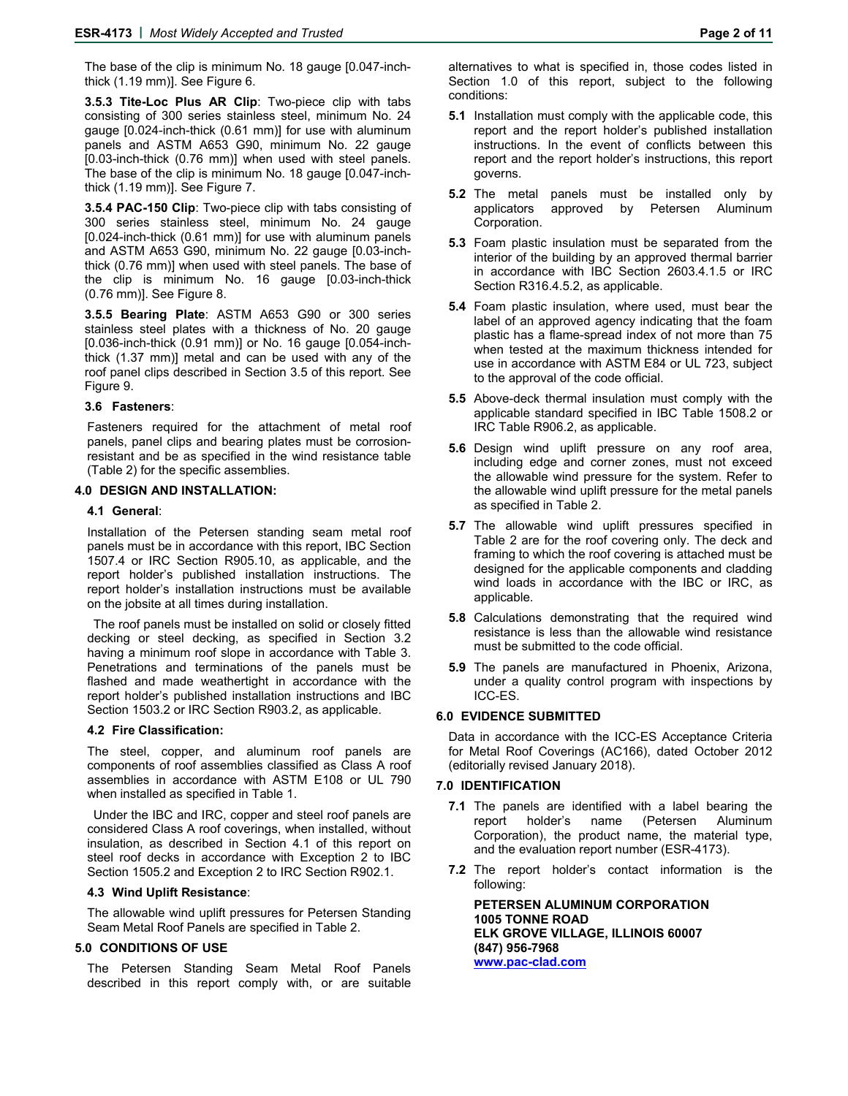The base of the clip is minimum No. 18 gauge [0.047-inchthick (1.19 mm)]. See Figure 6.

**3.5.3 Tite-Loc Plus AR Clip**: Two-piece clip with tabs consisting of 300 series stainless steel, minimum No. 24 gauge [0.024-inch-thick (0.61 mm)] for use with aluminum panels and ASTM A653 G90, minimum No. 22 gauge [0.03-inch-thick (0.76 mm)] when used with steel panels. The base of the clip is minimum No. 18 gauge [0.047-inchthick (1.19 mm)]. See Figure 7.

**3.5.4 PAC-150 Clip**: Two-piece clip with tabs consisting of 300 series stainless steel, minimum No. 24 gauge [0.024-inch-thick (0.61 mm)] for use with aluminum panels and ASTM A653 G90, minimum No. 22 gauge [0.03-inchthick (0.76 mm)] when used with steel panels. The base of the clip is minimum No. 16 gauge [0.03-inch-thick (0.76 mm)]. See Figure 8.

**3.5.5 Bearing Plate**: ASTM A653 G90 or 300 series stainless steel plates with a thickness of No. 20 gauge [0.036-inch-thick (0.91 mm)] or No. 16 gauge [0.054-inchthick (1.37 mm)] metal and can be used with any of the roof panel clips described in Section 3.5 of this report. See Figure 9.

#### **3.6 Fasteners**:

Fasteners required for the attachment of metal roof panels, panel clips and bearing plates must be corrosionresistant and be as specified in the wind resistance table (Table 2) for the specific assemblies.

#### **4.0 DESIGN AND INSTALLATION:**

#### **4.1 General**:

Installation of the Petersen standing seam metal roof panels must be in accordance with this report, IBC Section 1507.4 or IRC Section R905.10, as applicable, and the report holder's published installation instructions. The report holder's installation instructions must be available on the jobsite at all times during installation.

The roof panels must be installed on solid or closely fitted decking or steel decking, as specified in Section 3.2 having a minimum roof slope in accordance with Table 3. Penetrations and terminations of the panels must be flashed and made weathertight in accordance with the report holder's published installation instructions and IBC Section 1503.2 or IRC Section R903.2, as applicable.

#### **4.2 Fire Classification:**

The steel, copper, and aluminum roof panels are components of roof assemblies classified as Class A roof assemblies in accordance with ASTM E108 or UL 790 when installed as specified in Table 1.

Under the IBC and IRC, copper and steel roof panels are considered Class A roof coverings, when installed, without insulation, as described in Section 4.1 of this report on steel roof decks in accordance with Exception 2 to IBC Section 1505.2 and Exception 2 to IRC Section R902.1.

#### **4.3 Wind Uplift Resistance**:

The allowable wind uplift pressures for Petersen Standing Seam Metal Roof Panels are specified in Table 2.

#### **5.0 CONDITIONS OF USE**

The Petersen Standing Seam Metal Roof Panels described in this report comply with, or are suitable alternatives to what is specified in, those codes listed in Section 1.0 of this report, subject to the following conditions:

- **5.1** Installation must comply with the applicable code, this report and the report holder's published installation instructions. In the event of conflicts between this report and the report holder's instructions, this report governs.
- **5.2** The metal panels must be installed only by applicators approved by Petersen Aluminum Corporation.
- **5.3** Foam plastic insulation must be separated from the interior of the building by an approved thermal barrier in accordance with IBC Section 2603.4.1.5 or IRC Section R316.4.5.2, as applicable.
- **5.4** Foam plastic insulation, where used, must bear the label of an approved agency indicating that the foam plastic has a flame-spread index of not more than 75 when tested at the maximum thickness intended for use in accordance with ASTM E84 or UL 723, subject to the approval of the code official.
- **5.5** Above-deck thermal insulation must comply with the applicable standard specified in IBC Table 1508.2 or IRC Table R906.2, as applicable.
- **5.6** Design wind uplift pressure on any roof area, including edge and corner zones, must not exceed the allowable wind pressure for the system. Refer to the allowable wind uplift pressure for the metal panels as specified in Table 2.
- **5.7** The allowable wind uplift pressures specified in Table 2 are for the roof covering only. The deck and framing to which the roof covering is attached must be designed for the applicable components and cladding wind loads in accordance with the IBC or IRC, as applicable.
- **5.8** Calculations demonstrating that the required wind resistance is less than the allowable wind resistance must be submitted to the code official.
- **5.9** The panels are manufactured in Phoenix, Arizona, under a quality control program with inspections by ICC-ES.

#### **6.0 EVIDENCE SUBMITTED**

Data in accordance with the ICC-ES Acceptance Criteria for Metal Roof Coverings (AC166), dated October 2012 (editorially revised January 2018).

#### **7.0 IDENTIFICATION**

- **7.1** The panels are identified with a label bearing the report holder's name (Petersen Aluminum Corporation), the product name, the material type, and the evaluation report number (ESR-4173).
- **7.2** The report holder's contact information is the following:

**PETERSEN ALUMINUM CORPORATION 1005 TONNE ROAD ELK GROVE VILLAGE, ILLINOIS 60007 (847) 956-7968 www.pac-clad.com**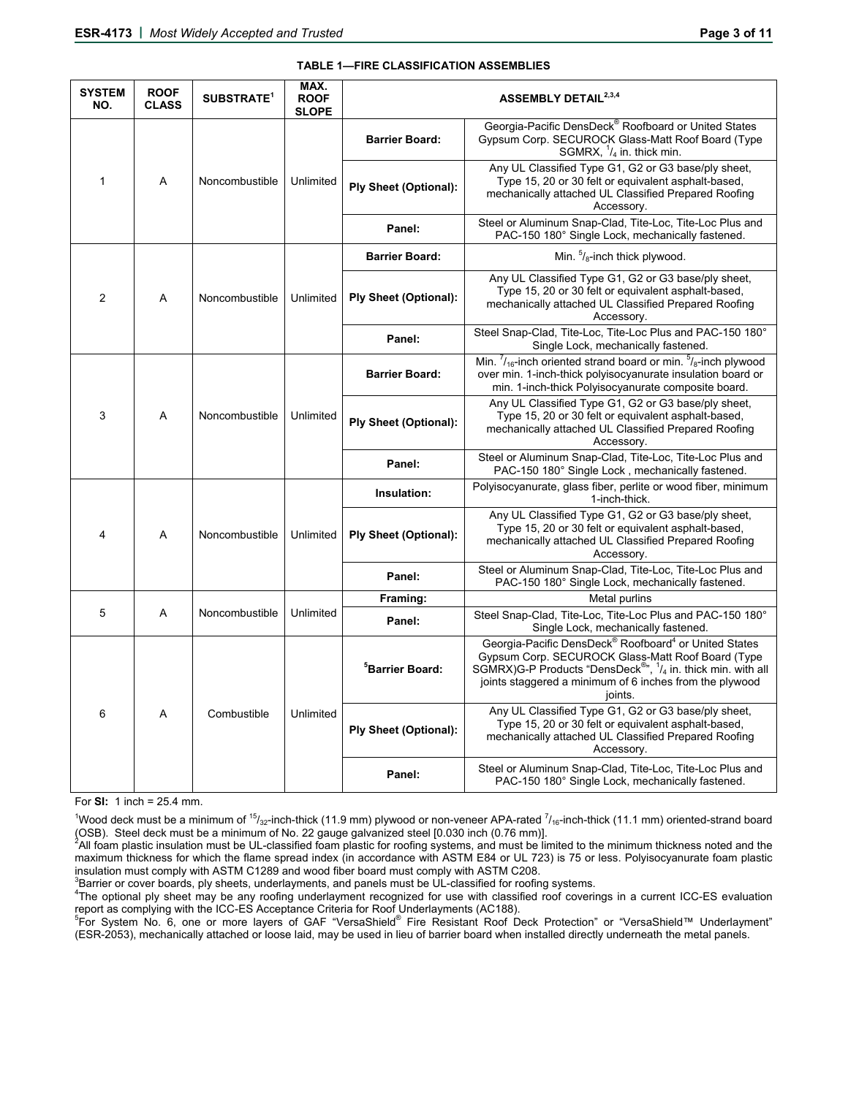| Georgia-Pacific DensDeck® Roofboard or United States<br>Gypsum Corp. SECUROCK Glass-Matt Roof Board (Type<br><b>Barrier Board:</b><br>SGMRX, $\frac{1}{4}$ in. thick min.<br>Any UL Classified Type G1, G2 or G3 base/ply sheet,<br>$\mathbf{1}$<br>$\overline{A}$<br>Type 15, 20 or 30 felt or equivalent asphalt-based,<br>Noncombustible<br>Unlimited<br><b>Ply Sheet (Optional):</b><br>mechanically attached UL Classified Prepared Roofing<br>Accessory.<br>Steel or Aluminum Snap-Clad, Tite-Loc, Tite-Loc Plus and<br>Panel:<br>PAC-150 180° Single Lock, mechanically fastened.<br>Min. $\frac{5}{8}$ -inch thick plywood.<br><b>Barrier Board:</b><br>Any UL Classified Type G1, G2 or G3 base/ply sheet,<br>Type 15, 20 or 30 felt or equivalent asphalt-based,<br>$\overline{c}$<br><b>Ply Sheet (Optional):</b><br>A<br>Noncombustible<br>Unlimited<br>mechanically attached UL Classified Prepared Roofing<br>Accessory.<br>Steel Snap-Clad, Tite-Loc, Tite-Loc Plus and PAC-150 180°<br>Panel:<br>Single Lock, mechanically fastened.<br>Min. $\frac{7}{16}$ -inch oriented strand board or min. $\frac{5}{8}$ -inch plywood<br>over min. 1-inch-thick polyisocyanurate insulation board or<br><b>Barrier Board:</b><br>min. 1-inch-thick Polyisocyanurate composite board.<br>Any UL Classified Type G1, G2 or G3 base/ply sheet,<br>3<br>Type 15, 20 or 30 felt or equivalent asphalt-based,<br>Α<br>Noncombustible<br>Unlimited<br><b>Ply Sheet (Optional):</b><br>mechanically attached UL Classified Prepared Roofing<br>Accessory.<br>Steel or Aluminum Snap-Clad, Tite-Loc, Tite-Loc Plus and<br>Panel:<br>PAC-150 180° Single Lock, mechanically fastened.<br>Polyisocyanurate, glass fiber, perlite or wood fiber, minimum<br>Insulation:<br>1-inch-thick.<br>Any UL Classified Type G1, G2 or G3 base/ply sheet,<br>Type 15, 20 or 30 felt or equivalent asphalt-based,<br>4<br>A<br>Noncombustible<br>Unlimited<br><b>Ply Sheet (Optional):</b><br>mechanically attached UL Classified Prepared Roofing<br>Accessory.<br>Steel or Aluminum Snap-Clad, Tite-Loc, Tite-Loc Plus and<br>Panel:<br>PAC-150 180° Single Lock, mechanically fastened.<br>Metal purlins<br>Framing:<br>5<br>A<br>Unlimited<br>Noncombustible<br>Steel Snap-Clad, Tite-Loc, Tite-Loc Plus and PAC-150 180°<br>Panel:<br>Single Lock, mechanically fastened.<br>Georgia-Pacific DensDeck <sup>®</sup> Roofboard <sup>4</sup> or United States<br>Gypsum Corp. SECUROCK Glass-Matt Roof Board (Type<br>SGMRX)G-P Products "DensDeck <sup>®</sup> ", <sup>1</sup> / <sub>4</sub> in. thick min. with all<br><sup>5</sup> Barrier Board:<br>joints staggered a minimum of 6 inches from the plywood<br>joints.<br>Any UL Classified Type G1, G2 or G3 base/ply sheet,<br>6<br>A<br>Combustible<br>Unlimited<br>Type 15, 20 or 30 felt or equivalent asphalt-based,<br><b>Ply Sheet (Optional):</b><br>mechanically attached UL Classified Prepared Roofing<br>Accessory.<br>Steel or Aluminum Snap-Clad, Tite-Loc, Tite-Loc Plus and<br>Panel:<br>PAC-150 180° Single Lock, mechanically fastened. | <b>SYSTEM</b><br>NO. | <b>ROOF</b><br><b>CLASS</b> | SUBSTRATE <sup>1</sup> | MAX.<br><b>ROOF</b><br><b>SLOPE</b> | ASSEMBLY DETAIL <sup>2,3,4</sup> |  |  |
|--------------------------------------------------------------------------------------------------------------------------------------------------------------------------------------------------------------------------------------------------------------------------------------------------------------------------------------------------------------------------------------------------------------------------------------------------------------------------------------------------------------------------------------------------------------------------------------------------------------------------------------------------------------------------------------------------------------------------------------------------------------------------------------------------------------------------------------------------------------------------------------------------------------------------------------------------------------------------------------------------------------------------------------------------------------------------------------------------------------------------------------------------------------------------------------------------------------------------------------------------------------------------------------------------------------------------------------------------------------------------------------------------------------------------------------------------------------------------------------------------------------------------------------------------------------------------------------------------------------------------------------------------------------------------------------------------------------------------------------------------------------------------------------------------------------------------------------------------------------------------------------------------------------------------------------------------------------------------------------------------------------------------------------------------------------------------------------------------------------------------------------------------------------------------------------------------------------------------------------------------------------------------------------------------------------------------------------------------------------------------------------------------------------------------------------------------------------------------------------------------------------------------------------------------------------------------------------------------------------------------------------------------------------------------------------------------------------------------------------------------------------------------------------------------------------------------------------------------------------------------------------------------------------------------------------------------------------------------------------------------------------------------------------------------------------------------------------------------|----------------------|-----------------------------|------------------------|-------------------------------------|----------------------------------|--|--|
|                                                                                                                                                                                                                                                                                                                                                                                                                                                                                                                                                                                                                                                                                                                                                                                                                                                                                                                                                                                                                                                                                                                                                                                                                                                                                                                                                                                                                                                                                                                                                                                                                                                                                                                                                                                                                                                                                                                                                                                                                                                                                                                                                                                                                                                                                                                                                                                                                                                                                                                                                                                                                                                                                                                                                                                                                                                                                                                                                                                                                                                                                                  |                      |                             |                        |                                     |                                  |  |  |
|                                                                                                                                                                                                                                                                                                                                                                                                                                                                                                                                                                                                                                                                                                                                                                                                                                                                                                                                                                                                                                                                                                                                                                                                                                                                                                                                                                                                                                                                                                                                                                                                                                                                                                                                                                                                                                                                                                                                                                                                                                                                                                                                                                                                                                                                                                                                                                                                                                                                                                                                                                                                                                                                                                                                                                                                                                                                                                                                                                                                                                                                                                  |                      |                             |                        |                                     |                                  |  |  |
|                                                                                                                                                                                                                                                                                                                                                                                                                                                                                                                                                                                                                                                                                                                                                                                                                                                                                                                                                                                                                                                                                                                                                                                                                                                                                                                                                                                                                                                                                                                                                                                                                                                                                                                                                                                                                                                                                                                                                                                                                                                                                                                                                                                                                                                                                                                                                                                                                                                                                                                                                                                                                                                                                                                                                                                                                                                                                                                                                                                                                                                                                                  |                      |                             |                        |                                     |                                  |  |  |
|                                                                                                                                                                                                                                                                                                                                                                                                                                                                                                                                                                                                                                                                                                                                                                                                                                                                                                                                                                                                                                                                                                                                                                                                                                                                                                                                                                                                                                                                                                                                                                                                                                                                                                                                                                                                                                                                                                                                                                                                                                                                                                                                                                                                                                                                                                                                                                                                                                                                                                                                                                                                                                                                                                                                                                                                                                                                                                                                                                                                                                                                                                  |                      |                             |                        |                                     |                                  |  |  |
|                                                                                                                                                                                                                                                                                                                                                                                                                                                                                                                                                                                                                                                                                                                                                                                                                                                                                                                                                                                                                                                                                                                                                                                                                                                                                                                                                                                                                                                                                                                                                                                                                                                                                                                                                                                                                                                                                                                                                                                                                                                                                                                                                                                                                                                                                                                                                                                                                                                                                                                                                                                                                                                                                                                                                                                                                                                                                                                                                                                                                                                                                                  |                      |                             |                        |                                     |                                  |  |  |
|                                                                                                                                                                                                                                                                                                                                                                                                                                                                                                                                                                                                                                                                                                                                                                                                                                                                                                                                                                                                                                                                                                                                                                                                                                                                                                                                                                                                                                                                                                                                                                                                                                                                                                                                                                                                                                                                                                                                                                                                                                                                                                                                                                                                                                                                                                                                                                                                                                                                                                                                                                                                                                                                                                                                                                                                                                                                                                                                                                                                                                                                                                  |                      |                             |                        |                                     |                                  |  |  |
|                                                                                                                                                                                                                                                                                                                                                                                                                                                                                                                                                                                                                                                                                                                                                                                                                                                                                                                                                                                                                                                                                                                                                                                                                                                                                                                                                                                                                                                                                                                                                                                                                                                                                                                                                                                                                                                                                                                                                                                                                                                                                                                                                                                                                                                                                                                                                                                                                                                                                                                                                                                                                                                                                                                                                                                                                                                                                                                                                                                                                                                                                                  |                      |                             |                        |                                     |                                  |  |  |
|                                                                                                                                                                                                                                                                                                                                                                                                                                                                                                                                                                                                                                                                                                                                                                                                                                                                                                                                                                                                                                                                                                                                                                                                                                                                                                                                                                                                                                                                                                                                                                                                                                                                                                                                                                                                                                                                                                                                                                                                                                                                                                                                                                                                                                                                                                                                                                                                                                                                                                                                                                                                                                                                                                                                                                                                                                                                                                                                                                                                                                                                                                  |                      |                             |                        |                                     |                                  |  |  |
|                                                                                                                                                                                                                                                                                                                                                                                                                                                                                                                                                                                                                                                                                                                                                                                                                                                                                                                                                                                                                                                                                                                                                                                                                                                                                                                                                                                                                                                                                                                                                                                                                                                                                                                                                                                                                                                                                                                                                                                                                                                                                                                                                                                                                                                                                                                                                                                                                                                                                                                                                                                                                                                                                                                                                                                                                                                                                                                                                                                                                                                                                                  |                      |                             |                        |                                     |                                  |  |  |
|                                                                                                                                                                                                                                                                                                                                                                                                                                                                                                                                                                                                                                                                                                                                                                                                                                                                                                                                                                                                                                                                                                                                                                                                                                                                                                                                                                                                                                                                                                                                                                                                                                                                                                                                                                                                                                                                                                                                                                                                                                                                                                                                                                                                                                                                                                                                                                                                                                                                                                                                                                                                                                                                                                                                                                                                                                                                                                                                                                                                                                                                                                  |                      |                             |                        |                                     |                                  |  |  |
|                                                                                                                                                                                                                                                                                                                                                                                                                                                                                                                                                                                                                                                                                                                                                                                                                                                                                                                                                                                                                                                                                                                                                                                                                                                                                                                                                                                                                                                                                                                                                                                                                                                                                                                                                                                                                                                                                                                                                                                                                                                                                                                                                                                                                                                                                                                                                                                                                                                                                                                                                                                                                                                                                                                                                                                                                                                                                                                                                                                                                                                                                                  |                      |                             |                        |                                     |                                  |  |  |
|                                                                                                                                                                                                                                                                                                                                                                                                                                                                                                                                                                                                                                                                                                                                                                                                                                                                                                                                                                                                                                                                                                                                                                                                                                                                                                                                                                                                                                                                                                                                                                                                                                                                                                                                                                                                                                                                                                                                                                                                                                                                                                                                                                                                                                                                                                                                                                                                                                                                                                                                                                                                                                                                                                                                                                                                                                                                                                                                                                                                                                                                                                  |                      |                             |                        |                                     |                                  |  |  |
|                                                                                                                                                                                                                                                                                                                                                                                                                                                                                                                                                                                                                                                                                                                                                                                                                                                                                                                                                                                                                                                                                                                                                                                                                                                                                                                                                                                                                                                                                                                                                                                                                                                                                                                                                                                                                                                                                                                                                                                                                                                                                                                                                                                                                                                                                                                                                                                                                                                                                                                                                                                                                                                                                                                                                                                                                                                                                                                                                                                                                                                                                                  |                      |                             |                        |                                     |                                  |  |  |
|                                                                                                                                                                                                                                                                                                                                                                                                                                                                                                                                                                                                                                                                                                                                                                                                                                                                                                                                                                                                                                                                                                                                                                                                                                                                                                                                                                                                                                                                                                                                                                                                                                                                                                                                                                                                                                                                                                                                                                                                                                                                                                                                                                                                                                                                                                                                                                                                                                                                                                                                                                                                                                                                                                                                                                                                                                                                                                                                                                                                                                                                                                  |                      |                             |                        |                                     |                                  |  |  |
|                                                                                                                                                                                                                                                                                                                                                                                                                                                                                                                                                                                                                                                                                                                                                                                                                                                                                                                                                                                                                                                                                                                                                                                                                                                                                                                                                                                                                                                                                                                                                                                                                                                                                                                                                                                                                                                                                                                                                                                                                                                                                                                                                                                                                                                                                                                                                                                                                                                                                                                                                                                                                                                                                                                                                                                                                                                                                                                                                                                                                                                                                                  |                      |                             |                        |                                     |                                  |  |  |
|                                                                                                                                                                                                                                                                                                                                                                                                                                                                                                                                                                                                                                                                                                                                                                                                                                                                                                                                                                                                                                                                                                                                                                                                                                                                                                                                                                                                                                                                                                                                                                                                                                                                                                                                                                                                                                                                                                                                                                                                                                                                                                                                                                                                                                                                                                                                                                                                                                                                                                                                                                                                                                                                                                                                                                                                                                                                                                                                                                                                                                                                                                  |                      |                             |                        |                                     |                                  |  |  |
|                                                                                                                                                                                                                                                                                                                                                                                                                                                                                                                                                                                                                                                                                                                                                                                                                                                                                                                                                                                                                                                                                                                                                                                                                                                                                                                                                                                                                                                                                                                                                                                                                                                                                                                                                                                                                                                                                                                                                                                                                                                                                                                                                                                                                                                                                                                                                                                                                                                                                                                                                                                                                                                                                                                                                                                                                                                                                                                                                                                                                                                                                                  |                      |                             |                        |                                     |                                  |  |  |

#### **TABLE 1—FIRE CLASSIFICATION ASSEMBLIES**

For **SI:** 1 inch = 25.4 mm.

<sup>1</sup>Wood deck must be a minimum of <sup>15</sup>/<sub>32</sub>-inch-thick (11.9 mm) plywood or non-veneer APA-rated <sup>7</sup>/<sub>16</sub>-inch-thick (11.1 mm) oriented-strand board

(OSB). Steel deck must be a minimum of No. 22 gauge galvanized steel [0.030 inch (0.76 mm)].<br><sup>2</sup>All foam plastic insulation must be UL-classified foam plastic for roofing systems, and must be limited to the minimum thickn maximum thickness for which the flame spread index (in accordance with ASTM E84 or UL 723) is 75 or less. Polyisocyanurate foam plastic insulation must comply with ASTM C1289 and wood fiber board must comply with ASTM C208. 3

<sup>3</sup>Barrier or cover boards, ply sheets, underlayments, and panels must be UL-classified for roofing systems.

<sup>4</sup>The optional ply sheet may be any roofing underlayment recognized for use with classified roof coverings in a current ICC-ES evaluation report as complying with the ICC-ES Acceptance Criteria for Roof Underlayments (AC188).

For System No. 6, one or more layers of GAF "VersaShield® Fire Resistant Roof Deck Protection" or "VersaShield™ Underlayment" (ESR-2053), mechanically attached or loose laid, may be used in lieu of barrier board when installed directly underneath the metal panels.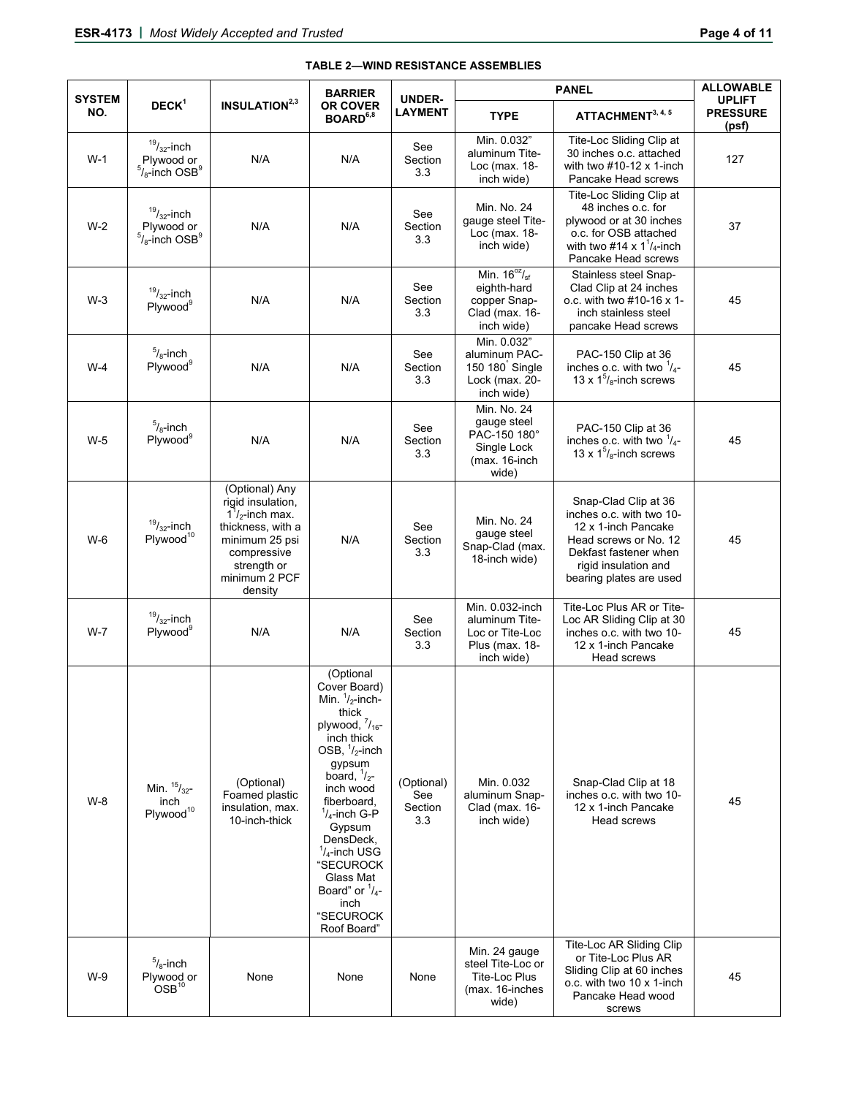| <b>SYSTEM</b> |                                                                   |                                                                                                                                                                   | <b>BARRIER</b>                                                                                                                                                                                                                                                                                                                                         | <b>UNDER-</b><br><b>LAYMENT</b>     |                                                                                      | <b>ALLOWABLE</b>                                                                                                                                                             |                                           |
|---------------|-------------------------------------------------------------------|-------------------------------------------------------------------------------------------------------------------------------------------------------------------|--------------------------------------------------------------------------------------------------------------------------------------------------------------------------------------------------------------------------------------------------------------------------------------------------------------------------------------------------------|-------------------------------------|--------------------------------------------------------------------------------------|------------------------------------------------------------------------------------------------------------------------------------------------------------------------------|-------------------------------------------|
| NO.           | $DECK^1$                                                          | <b>INSULATION</b> <sup>2,3</sup>                                                                                                                                  | <b>OR COVER</b><br>BOARD <sup>6,8</sup>                                                                                                                                                                                                                                                                                                                |                                     | <b>TYPE</b>                                                                          | ATTACHMENT <sup>3, 4, 5</sup>                                                                                                                                                | <b>UPLIFT</b><br><b>PRESSURE</b><br>(psf) |
| $W-1$         | $^{19}/_{32}$ -inch<br>Plywood or<br>$5/8$ -inch OSB <sup>9</sup> | N/A                                                                                                                                                               | N/A                                                                                                                                                                                                                                                                                                                                                    | See<br>Section<br>3.3               | Min. 0.032"<br>aluminum Tite-<br>Loc (max. 18-<br>inch wide)                         | Tite-Loc Sliding Clip at<br>30 inches o.c. attached<br>with two #10-12 x 1-inch<br>Pancake Head screws                                                                       | 127                                       |
| $W-2$         | $^{19}/_{32}$ -inch<br>Plywood or<br>$5/8$ -inch OSB <sup>9</sup> | N/A                                                                                                                                                               | N/A                                                                                                                                                                                                                                                                                                                                                    | See<br>Section<br>3.3               | Min. No. 24<br>gauge steel Tite-<br>Loc (max. 18-<br>inch wide)                      | Tite-Loc Sliding Clip at<br>48 inches o.c. for<br>plywood or at 30 inches<br>o.c. for OSB attached<br>with two #14 x $1^7/4$ -inch<br>Pancake Head screws                    | 37                                        |
| $W-3$         | $19/32$ -inch<br>Plywood <sup>9</sup>                             | N/A                                                                                                                                                               | N/A                                                                                                                                                                                                                                                                                                                                                    | See<br>Section<br>3.3               | Min. $16^{oz}/sf$<br>eighth-hard<br>copper Snap-<br>Clad (max. 16-<br>inch wide)     | Stainless steel Snap-<br>Clad Clip at 24 inches<br>o.c. with two #10-16 x 1-<br>inch stainless steel<br>pancake Head screws                                                  | 45                                        |
| $W-4$         | $5/8$ -inch<br>Plywood <sup>9</sup>                               | N/A                                                                                                                                                               | N/A                                                                                                                                                                                                                                                                                                                                                    | See<br>Section<br>3.3               | Min. 0.032"<br>aluminum PAC-<br>150 180 Single<br>Lock (max. 20-<br>inch wide)       | PAC-150 Clip at 36<br>inches o.c. with two $\frac{1}{4}$ -<br>13 x $1^5$ / <sub>8</sub> -inch screws                                                                         | 45                                        |
| $W-5$         | $\frac{5}{8}$ -inch<br>Plywood <sup>9</sup>                       | N/A                                                                                                                                                               | N/A                                                                                                                                                                                                                                                                                                                                                    | See<br>Section<br>3.3               | Min. No. 24<br>gauge steel<br>PAC-150 180°<br>Single Lock<br>(max. 16-inch<br>wide)  | PAC-150 Clip at 36<br>inches o.c. with two $\frac{1}{4}$ -<br>13 x $15/8$ -inch screws                                                                                       | 45                                        |
| $W-6$         | $19/32$ -inch<br>Plywood <sup>10</sup>                            | (Optional) Any<br>rigid insulation,<br>$1\frac{1}{2}$ -inch max.<br>thickness, with a<br>minimum 25 psi<br>compressive<br>strength or<br>minimum 2 PCF<br>density | N/A                                                                                                                                                                                                                                                                                                                                                    | See<br>Section<br>3.3               | Min. No. 24<br>gauge steel<br>Snap-Clad (max.<br>18-inch wide)                       | Snap-Clad Clip at 36<br>inches o.c. with two 10-<br>12 x 1-inch Pancake<br>Head screws or No. 12<br>Dekfast fastener when<br>rigid insulation and<br>bearing plates are used | 45                                        |
| $W - 7$       | $19/32$ -inch<br>Plywood <sup>9</sup>                             | N/A                                                                                                                                                               | N/A                                                                                                                                                                                                                                                                                                                                                    | See<br>Section<br>3.3               | Min. 0.032-inch<br>aluminum Tite-<br>Loc or Tite-Loc<br>Plus (max. 18-<br>inch wide) | Tite-Loc Plus AR or Tite-<br>Loc AR Sliding Clip at 30<br>inches o.c. with two 10-<br>12 x 1-inch Pancake<br>Head screws                                                     | 45                                        |
| $W-8$         | Min. $^{15}/_{32}$ -<br>inch<br>Plywood <sup>10</sup>             | (Optional)<br>Foamed plastic<br>insulation, max.<br>10-inch-thick                                                                                                 | (Optional<br>Cover Board)<br>Min. $1/2$ -inch-<br>thick<br>plywood, $\frac{7}{16}$ -<br>inch thick<br>OSB, $\frac{1}{2}$ -inch<br>gypsum<br>board, $\frac{1}{2}$ -<br>inch wood<br>fiberboard,<br>$1/4$ -inch G-P<br>Gypsum<br>DensDeck,<br>$1/4$ -inch USG<br>"SECUROCK<br>Glass Mat<br>Board" or $\frac{1}{4}$ -<br>inch<br>"SECUROCK<br>Roof Board" | (Optional)<br>See<br>Section<br>3.3 | Min. 0.032<br>aluminum Snap-<br>Clad (max. 16-<br>inch wide)                         | Snap-Clad Clip at 18<br>inches o.c. with two 10-<br>12 x 1-inch Pancake<br>Head screws                                                                                       | 45                                        |
| $W-9$         | $\frac{5}{8}$ -inch<br>Plywood or<br>$OSB$ <sup>10</sup>          | None                                                                                                                                                              | None                                                                                                                                                                                                                                                                                                                                                   | None                                | Min. 24 gauge<br>steel Tite-Loc or<br>Tite-Loc Plus<br>(max. 16-inches<br>wide)      | Tite-Loc AR Sliding Clip<br>or Tite-Loc Plus AR<br>Sliding Clip at 60 inches<br>o.c. with two 10 x 1-inch<br>Pancake Head wood<br>screws                                     | 45                                        |

#### **TABLE 2—WIND RESISTANCE ASSEMBLIES**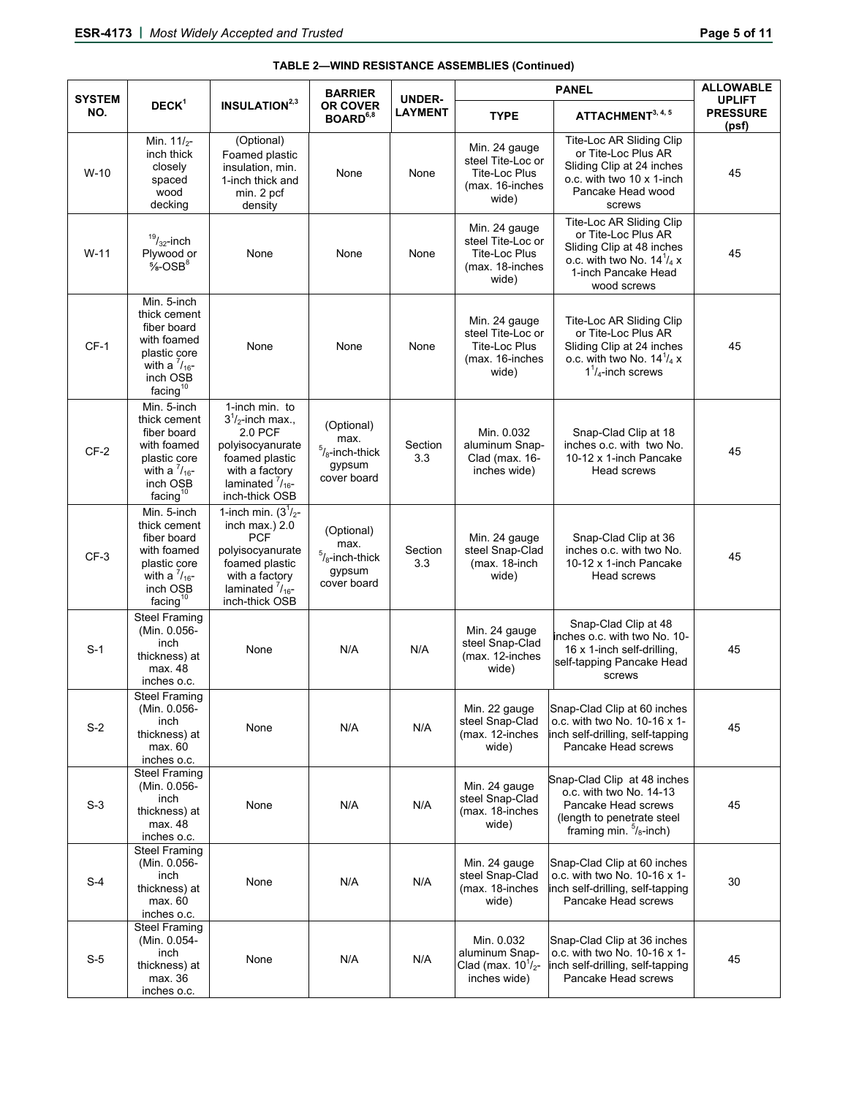| <b>SYSTEM</b> | $DECK^1$                                                                                                                                            | <b>INSULATION</b> <sup>2,3</sup>                                                                                                                                      | <b>BARRIER</b><br><b>OR COVER</b><br>BOARD <sup>6,8</sup>        | <b>UNDER-</b><br><b>LAYMENT</b> |                                                                                        | <b>ALLOWABLE</b>                                                                                                                                        |                                           |
|---------------|-----------------------------------------------------------------------------------------------------------------------------------------------------|-----------------------------------------------------------------------------------------------------------------------------------------------------------------------|------------------------------------------------------------------|---------------------------------|----------------------------------------------------------------------------------------|---------------------------------------------------------------------------------------------------------------------------------------------------------|-------------------------------------------|
| NO.           |                                                                                                                                                     |                                                                                                                                                                       |                                                                  |                                 | <b>TYPE</b>                                                                            | ATTACHMENT <sup>3, 4, 5</sup>                                                                                                                           | <b>UPLIFT</b><br><b>PRESSURE</b><br>(psf) |
| $W-10$        | Min. $11/2$ -<br>inch thick<br>closely<br>spaced<br>wood<br>decking                                                                                 | (Optional)<br>Foamed plastic<br>insulation, min.<br>1-inch thick and<br>min. 2 pcf<br>density                                                                         | None                                                             | None                            | Min. 24 gauge<br>steel Tite-Loc or<br>Tite-Loc Plus<br>(max. 16-inches<br>wide)        | Tite-Loc AR Sliding Clip<br>or Tite-Loc Plus AR<br>Sliding Clip at 24 inches<br>o.c. with two 10 x 1-inch<br>Pancake Head wood<br>screws                | 45                                        |
| $W-11$        | $19/32$ -inch<br>Plywood or<br>$\frac{5}{8}$ -OSB <sup>8</sup>                                                                                      | None                                                                                                                                                                  | None                                                             | None                            | Min. 24 gauge<br>steel Tite-Loc or<br><b>Tite-Loc Plus</b><br>(max. 18-inches<br>wide) | Tite-Loc AR Sliding Clip<br>or Tite-Loc Plus AR<br>Sliding Clip at 48 inches<br>o.c. with two No. $14^{1}/_{4}$ x<br>1-inch Pancake Head<br>wood screws | 45                                        |
| $CF-1$        | Min. 5-inch<br>thick cement<br>fiber board<br>with foamed<br>plastic core<br>with a $\frac{7}{16}$ -<br>inch OSB<br>facing <sup>10</sup>            | None                                                                                                                                                                  | None                                                             | None                            | Min. 24 gauge<br>steel Tite-Loc or<br><b>Tite-Loc Plus</b><br>(max. 16-inches<br>wide) | Tite-Loc AR Sliding Clip<br>or Tite-Loc Plus AR<br>Sliding Clip at 24 inches<br>o.c. with two No. $14^{1}/_{4} x$<br>$1^7/4$ -inch screws               | 45                                        |
| $CF-2$        | Min. 5-inch<br>thick cement<br>fiber board<br>with foamed<br>plastic core<br>with a $\frac{7}{16}$ -<br>inch OSB<br>$\mathsf{facing}^{\mathsf{10}}$ | 1-inch min. to<br>$31/2$ -inch max.,<br>2.0 PCF<br>polyisocyanurate<br>foamed plastic<br>with a factory<br>laminated $\frac{7}{16}$ -<br>inch-thick OSB               | (Optional)<br>max.<br>$5/8$ -inch-thick<br>gypsum<br>cover board | Section<br>3.3                  | Min. 0.032<br>aluminum Snap-<br>Clad (max. 16-<br>inches wide)                         | Snap-Clad Clip at 18<br>inches o.c. with two No.<br>10-12 x 1-inch Pancake<br>Head screws                                                               | 45                                        |
| CF-3          | Min. 5-inch<br>thick cement<br>fiber board<br>with foamed<br>plastic core<br>with a $\frac{7}{16}$ -<br>inch OSB<br>facing <sup>10</sup>            | 1-inch min. $(3^{1}/_{2}$ -<br>inch max.) $2.0$<br><b>PCF</b><br>polyisocyanurate<br>foamed plastic<br>with a factory<br>laminated $\frac{7}{16}$ -<br>inch-thick OSB | (Optional)<br>max.<br>$5/8$ -inch-thick<br>gypsum<br>cover board | Section<br>3.3                  | Min. 24 gauge<br>steel Snap-Clad<br>(max. 18-inch<br>wide)                             | Snap-Clad Clip at 36<br>inches o.c. with two No.<br>10-12 x 1-inch Pancake<br>Head screws                                                               | 45                                        |
| $S-1$         | <b>Steel Framing</b><br>(Min. 0.056-<br>inch<br>thickness) at<br>max. 48<br>inches o.c.                                                             | None                                                                                                                                                                  | N/A                                                              | N/A                             | Min. 24 gauge<br>steel Snap-Clad<br>(max. 12-inches<br>wide)                           | Snap-Clad Clip at 48<br>inches o.c. with two No. 10-<br>16 x 1-inch self-drilling,<br>self-tapping Pancake Head<br>screws                               | 45                                        |
| $S-2$         | <b>Steel Framing</b><br>(Min. 0.056-<br>inch<br>thickness) at<br>max. 60<br>inches o.c.                                                             | None                                                                                                                                                                  | N/A                                                              | N/A                             | Min. 22 gauge<br>steel Snap-Clad<br>(max. 12-inches<br>wide)                           | Snap-Clad Clip at 60 inches<br>o.c. with two No. 10-16 x 1-<br>inch self-drilling, self-tapping<br>Pancake Head screws                                  | 45                                        |
| $S-3$         | <b>Steel Framing</b><br>(Min. 0.056-<br>inch<br>thickness) at<br>max. 48<br>inches o.c.                                                             | None                                                                                                                                                                  | N/A                                                              | N/A                             | Min. 24 gauge<br>steel Snap-Clad<br>(max. 18-inches<br>wide)                           | Snap-Clad Clip at 48 inches<br>o.c. with two No. 14-13<br>Pancake Head screws<br>(length to penetrate steel<br>framing min. $\frac{5}{8}$ -inch)        | 45                                        |
| $S-4$         | <b>Steel Framing</b><br>(Min. 0.056-<br>inch<br>thickness) at<br>max. 60<br>inches o.c.                                                             | None                                                                                                                                                                  | N/A                                                              | N/A                             | Min. 24 gauge<br>steel Snap-Clad<br>(max. 18-inches<br>wide)                           | Snap-Clad Clip at 60 inches<br>o.c. with two No. 10-16 x 1-<br>inch self-drilling, self-tapping<br>Pancake Head screws                                  | 30                                        |
| $S-5$         | <b>Steel Framing</b><br>(Min. 0.054-<br>inch<br>thickness) at<br>max. 36<br>inches o.c.                                                             | None                                                                                                                                                                  | N/A                                                              | N/A                             | Min. 0.032<br>aluminum Snap-<br>Clad (max. $10^{1}/_{2}$ -<br>inches wide)             | Snap-Clad Clip at 36 inches<br>o.c. with two No. 10-16 x 1-<br>inch self-drilling, self-tapping<br>Pancake Head screws                                  | 45                                        |

# **TABLE 2—WIND RESISTANCE ASSEMBLIES (Continued)**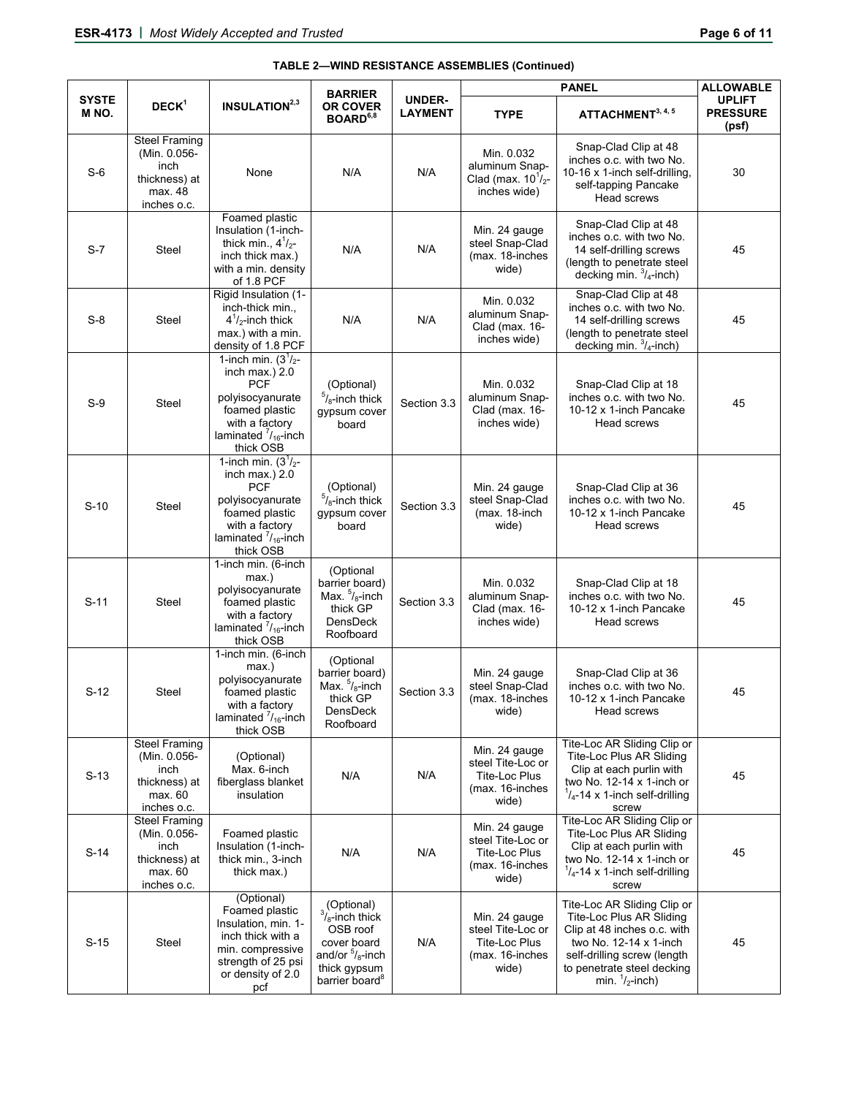|                       |                                                                                         |                                                                                                                                                                 | <b>BARRIER</b>                                                                                                                                 |                                 |                                                                                        | <b>ALLOWABLE</b>                                                                                                                                                                                           |                                           |
|-----------------------|-----------------------------------------------------------------------------------------|-----------------------------------------------------------------------------------------------------------------------------------------------------------------|------------------------------------------------------------------------------------------------------------------------------------------------|---------------------------------|----------------------------------------------------------------------------------------|------------------------------------------------------------------------------------------------------------------------------------------------------------------------------------------------------------|-------------------------------------------|
| <b>SYSTE</b><br>M NO. | $DECK^1$                                                                                | <b>INSULATION</b> <sup>2,3</sup>                                                                                                                                | <b>OR COVER</b><br>BOARD <sup>6,8</sup>                                                                                                        | <b>UNDER-</b><br><b>LAYMENT</b> | <b>TYPE</b>                                                                            | ATTACHMENT <sup>3, 4, 5</sup>                                                                                                                                                                              | <b>UPLIFT</b><br><b>PRESSURE</b><br>(psf) |
| $S-6$                 | <b>Steel Framing</b><br>(Min. 0.056-<br>inch<br>thickness) at<br>max. 48<br>inches o.c. | None                                                                                                                                                            | N/A                                                                                                                                            | N/A                             | Min. 0.032<br>aluminum Snap-<br>Clad (max. $10^{1/2}$ -<br>inches wide)                | Snap-Clad Clip at 48<br>inches o.c. with two No.<br>10-16 x 1-inch self-drilling,<br>self-tapping Pancake<br>Head screws                                                                                   | 30                                        |
| $S-7$                 | Steel                                                                                   | Foamed plastic<br>Insulation (1-inch-<br>thick min., $4^1/2$ -<br>inch thick max.)<br>with a min. density<br>of 1.8 PCF                                         | N/A                                                                                                                                            | N/A                             | Min. 24 gauge<br>steel Snap-Clad<br>(max. 18-inches<br>wide)                           | Snap-Clad Clip at 48<br>inches o.c. with two No.<br>14 self-drilling screws<br>(length to penetrate steel<br>decking min. $\frac{3}{4}$ -inch)                                                             | 45                                        |
| $S-8$                 | <b>Steel</b>                                                                            | Rigid Insulation (1-<br>inch-thick min.,<br>$4^1$ / <sub>2</sub> -inch thick<br>max.) with a min.<br>density of 1.8 PCF                                         | N/A                                                                                                                                            | N/A                             | Min. 0.032<br>aluminum Snap-<br>Clad (max. 16-<br>inches wide)                         | Snap-Clad Clip at 48<br>inches o.c. with two No.<br>14 self-drilling screws<br>(length to penetrate steel<br>decking min. $\frac{3}{4}$ -inch)                                                             | 45                                        |
| $S-9$                 | Steel                                                                                   | 1-inch min. $(3^1/2 -$<br>inch max.) $2.0$<br><b>PCF</b><br>polyisocyanurate<br>foamed plastic<br>with a factory<br>laminated $\frac{7}{16}$ -inch<br>thick OSB | (Optional)<br>$5/6$ -inch thick<br>qypsum cover<br>board                                                                                       | Section 3.3                     | Min. 0.032<br>aluminum Snap-<br>Clad (max. 16-<br>inches wide)                         | Snap-Clad Clip at 18<br>inches o.c. with two No.<br>10-12 x 1-inch Pancake<br>Head screws                                                                                                                  | 45                                        |
| $S-10$                | Steel                                                                                   | 1-inch min. $(3^1/2 -$<br>inch max.) 2.0<br><b>PCF</b><br>polyisocyanurate<br>foamed plastic<br>with a factory<br>laminated $\frac{7}{16}$ -inch<br>thick OSB   | (Optional)<br>$5/8$ -inch thick<br>gypsum cover<br>board                                                                                       | Section 3.3                     | Min. 24 gauge<br>steel Snap-Clad<br>(max. 18-inch<br>wide)                             | Snap-Clad Clip at 36<br>inches o.c. with two No.<br>10-12 x 1-inch Pancake<br>Head screws                                                                                                                  | 45                                        |
| $S-11$                | Steel                                                                                   | 1-inch min. (6-inch<br>max.)<br>polyisocyanurate<br>foamed plastic<br>with a factory<br>laminated $\frac{7}{16}$ -inch<br>thick OSB                             | (Optional<br>barrier board)<br>Max. $5/6$ -inch<br>thick GP<br>DensDeck<br>Roofboard                                                           | Section 3.3                     | Min. 0.032<br>aluminum Snap-<br>Clad (max. 16-<br>inches wide)                         | Snap-Clad Clip at 18<br>inches o.c. with two No.<br>10-12 x 1-inch Pancake<br>Head screws                                                                                                                  | 45                                        |
| $S-12$                | Steel                                                                                   | 1-inch min. (6-inch<br>max.)<br>polyisocyanurate<br>foamed plastic<br>with a factory<br>laminated $\frac{7}{16}$ -inch<br>thick OSB                             | (Optional<br>barrier board)<br>Max. $5/6$ -inch<br>thick GP<br>DensDeck<br>Roofboard                                                           | Section 3.3                     | Min. 24 gauge<br>steel Snap-Clad<br>(max. 18-inches<br>wide)                           | Snap-Clad Clip at 36<br>inches o.c. with two No.<br>10-12 x 1-inch Pancake<br>Head screws                                                                                                                  | 45                                        |
| $S-13$                | <b>Steel Framing</b><br>(Min. 0.056-<br>inch<br>thickness) at<br>max. 60<br>inches o.c. | (Optional)<br>Max. 6-inch<br>fiberglass blanket<br>insulation                                                                                                   | N/A                                                                                                                                            | N/A                             | Min. 24 gauge<br>steel Tite-Loc or<br><b>Tite-Loc Plus</b><br>(max. 16-inches<br>wide) | Tite-Loc AR Sliding Clip or<br>Tite-Loc Plus AR Sliding<br>Clip at each purlin with<br>two No. $12-14 \times 1$ -inch or<br>$\frac{1}{4}$ -14 x 1-inch self-drilling<br>screw                              | 45                                        |
| $S-14$                | <b>Steel Framing</b><br>(Min. 0.056-<br>inch<br>thickness) at<br>max. 60<br>inches o.c. | Foamed plastic<br>Insulation (1-inch-<br>thick min., 3-inch<br>thick max.)                                                                                      | N/A                                                                                                                                            | N/A                             | Min. 24 gauge<br>steel Tite-Loc or<br>Tite-Loc Plus<br>(max. 16-inches<br>wide)        | Tite-Loc AR Sliding Clip or<br><b>Tite-Loc Plus AR Sliding</b><br>Clip at each purlin with<br>two No. $12-14 \times 1$ -inch or<br>$\frac{1}{4}$ -14 x 1-inch self-drilling<br>screw                       | 45                                        |
| $S-15$                | Steel                                                                                   | (Optional)<br>Foamed plastic<br>Insulation, min. 1-<br>inch thick with a<br>min. compressive<br>strength of 25 psi<br>or density of 2.0<br>pcf                  | (Optional)<br>$\frac{3}{8}$ -inch thick<br>OSB roof<br>cover board<br>and/or $\frac{5}{8}$ -inch<br>thick gypsum<br>barrier board <sup>8</sup> | N/A                             | Min. 24 gauge<br>steel Tite-Loc or<br><b>Tite-Loc Plus</b><br>(max. 16-inches<br>wide) | Tite-Loc AR Sliding Clip or<br>Tite-Loc Plus AR Sliding<br>Clip at 48 inches o.c. with<br>two No. 12-14 x 1-inch<br>self-drilling screw (length<br>to penetrate steel decking<br>min. $\frac{1}{2}$ -inch) | 45                                        |

# **TABLE 2—WIND RESISTANCE ASSEMBLIES (Continued)**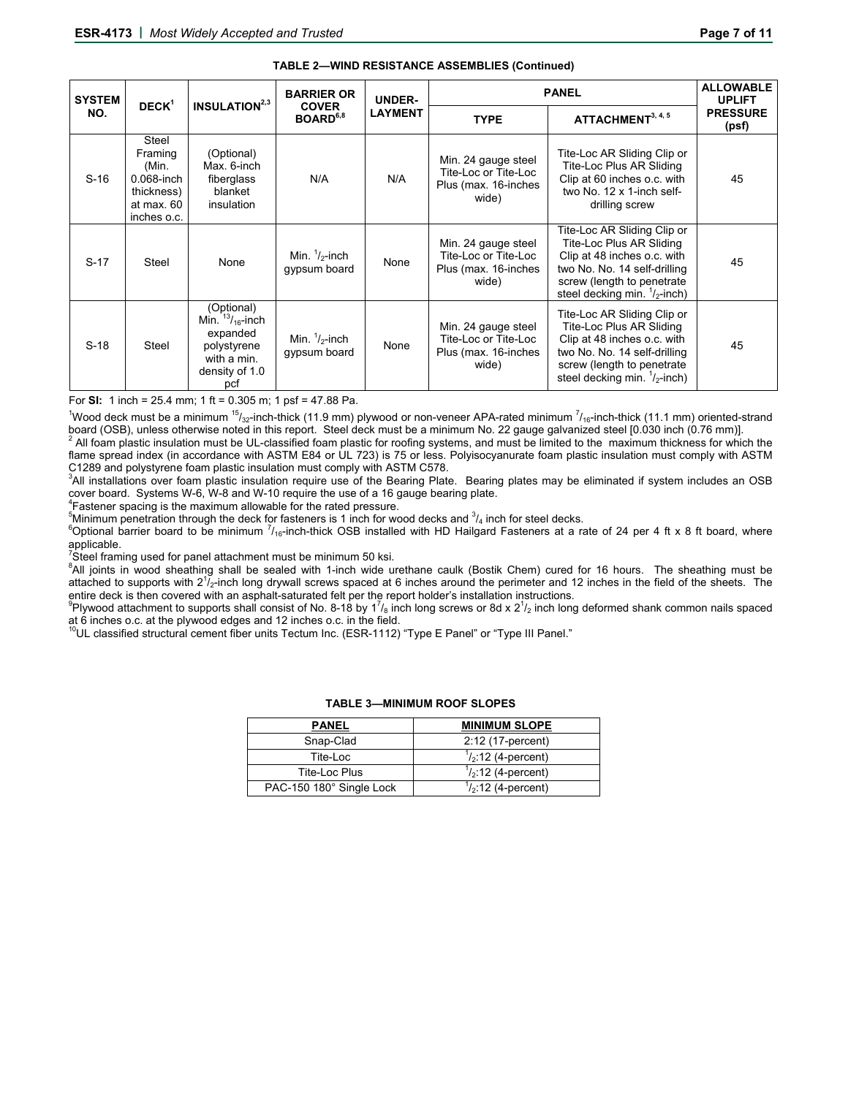| <b>SYSTEM</b> | $DECK^1$                                                                           | <b>INSULATION</b> <sup>2,3</sup>                                                                          | <b>BARRIER OR</b><br><b>COVER</b><br>BOARD <sup>6,8</sup> | UNDER-         | <b>PANEL</b>                                                                 | <b>ALLOWABLE</b><br><b>UPLIFT</b>                                                                                                                                                               |                          |
|---------------|------------------------------------------------------------------------------------|-----------------------------------------------------------------------------------------------------------|-----------------------------------------------------------|----------------|------------------------------------------------------------------------------|-------------------------------------------------------------------------------------------------------------------------------------------------------------------------------------------------|--------------------------|
| NO.           |                                                                                    |                                                                                                           |                                                           | <b>LAYMENT</b> | <b>TYPE</b>                                                                  | ATTACHMENT <sup>3, 4, 5</sup>                                                                                                                                                                   | <b>PRESSURE</b><br>(psf) |
| $S-16$        | Steel<br>Framing<br>(Min.<br>0.068-inch<br>thickness)<br>at max. 60<br>inches o.c. | (Optional)<br>Max. 6-inch<br>fiberglass<br>blanket<br>insulation                                          | N/A                                                       | N/A            | Min. 24 gauge steel<br>Tite-Loc or Tite-Loc<br>Plus (max. 16-inches<br>wide) | Tite-Loc AR Sliding Clip or<br>Tite-Loc Plus AR Sliding<br>Clip at 60 inches o.c. with<br>two No. 12 x 1-inch self-<br>drilling screw                                                           | 45                       |
| $S-17$        | Steel                                                                              | None                                                                                                      | Min. $\frac{1}{2}$ -inch<br>gypsum board                  | None           | Min. 24 gauge steel<br>Tite-Loc or Tite-Loc<br>Plus (max. 16-inches<br>wide) | Tite-Loc AR Sliding Clip or<br>Tite-Loc Plus AR Sliding<br>Clip at 48 inches o.c. with<br>two No. No. 14 self-drilling<br>screw (length to penetrate<br>steel decking min. $\frac{1}{2}$ -inch) | 45                       |
| $S-18$        | Steel                                                                              | (Optional)<br>Min. $^{13}/_{16}$ -inch<br>expanded<br>polystyrene<br>with a min.<br>density of 1.0<br>pcf | Min. $\frac{1}{2}$ -inch<br>gypsum board                  | None           | Min. 24 gauge steel<br>Tite-Loc or Tite-Loc<br>Plus (max. 16-inches<br>wide) | Tite-Loc AR Sliding Clip or<br>Tite-Loc Plus AR Sliding<br>Clip at 48 inches o.c. with<br>two No. No. 14 self-drilling<br>screw (length to penetrate<br>steel decking min. $\frac{1}{2}$ -inch) | 45                       |

#### **TABLE 2—WIND RESISTANCE ASSEMBLIES (Continued)**

For **SI:** 1 inch = 25.4 mm; 1 ft = 0.305 m; 1 psf = 47.88 Pa.

<sup>1</sup>Wood deck must be a minimum <sup>15</sup>/<sub>32</sub>-inch-thick (11.9 mm) plywood or non-veneer APA-rated minimum <sup>7</sup>/<sub>16</sub>-inch-thick (11.1 mm) oriented-strand board (OSB), unless otherwise noted in this report. Steel deck must be a minimum No. 22 gauge galvanized steel [0.030 inch (0.76 mm)]. <sup>2</sup> All foam plastic insulation must be UL-classified foam plastic for roofing systems, and must be limited to the maximum thickness for which the flame spread index (in accordance with ASTM E84 or UL 723) is 75 or less. Polyisocyanurate foam plastic insulation must comply with ASTM C1289 and polystyrene foam plastic insulation must comply with ASTM C578.

<sup>3</sup>All installations over foam plastic insulation require use of the Bearing Plate. Bearing plates may be eliminated if system includes an OSB cover board. Systems W-6, W-8 and W-10 require the use of a 16 gauge bearing plate.

<sup>4</sup> Fastener spacing is the maximum allowable for the rated pressure.

<sup>5</sup>Minimum penetration through the deck for fasteners is 1 inch for wood decks and  $\frac{3}{4}$  inch for steel decks.

Optional barrier board to be minimum  $^{7}/_{16}$ -inch-thick OSB installed with HD Hailgard Fasteners at a rate of 24 per 4 ft x 8 ft board, where applicable.

<sup>7</sup>Steel framing used for panel attachment must be minimum 50 ksi.

<sup>8</sup>All joints in wood sheathing shall be sealed with 1-inch wide urethane caulk (Bostik Chem) cured for 16 hours. The sheathing must be attached to supports with  $2^{17}$ -inch long drywall screws spaced at 6 inches around the perimeter and 12 inches in the field of the sheets. The entire deck is then covered with an asphalt-saturated felt per the report holder's installation instructions. 9

Plywood attachment to supports shall consist of No. 8-18 by  $1^{7}/_8$  inch long screws or 8d x  $2^{1}/_2$  inch long deformed shank common nails spaced at 6 inches o.c. at the plywood edges and 12 inches o.c. in the field.<br><sup>10</sup>UL classified structural cement fiber units Tectum Inc. (ESR-1112) "Type E Panel" or "Type III Panel."

| <b>PANEL</b>             | <b>MINIMUM SLOPE</b>          |
|--------------------------|-------------------------------|
| Snap-Clad                | 2:12 (17-percent)             |
| Tite-Loc                 | $\frac{1}{2}$ :12 (4-percent) |
| Tite-Loc Plus            | $\frac{1}{2}$ :12 (4-percent) |
| PAC-150 180° Single Lock | $\frac{1}{2}$ :12 (4-percent) |

#### **TABLE 3—MINIMUM ROOF SLOPES**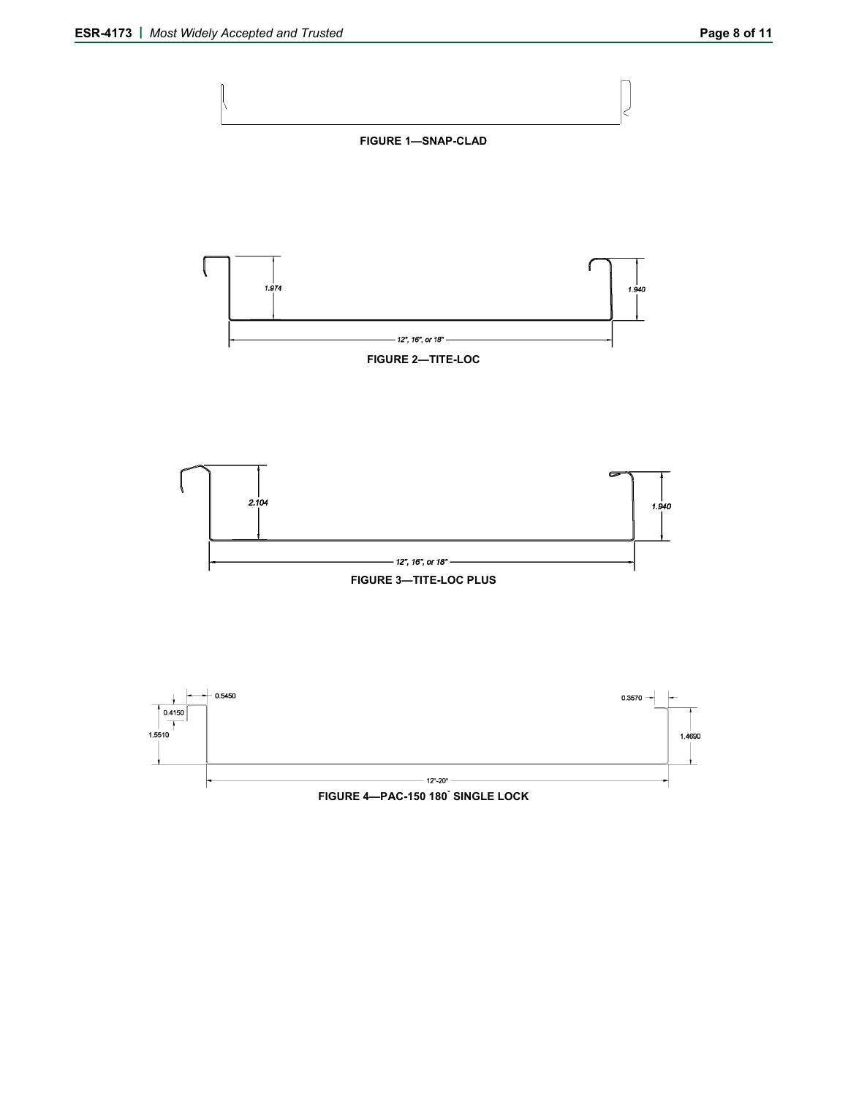

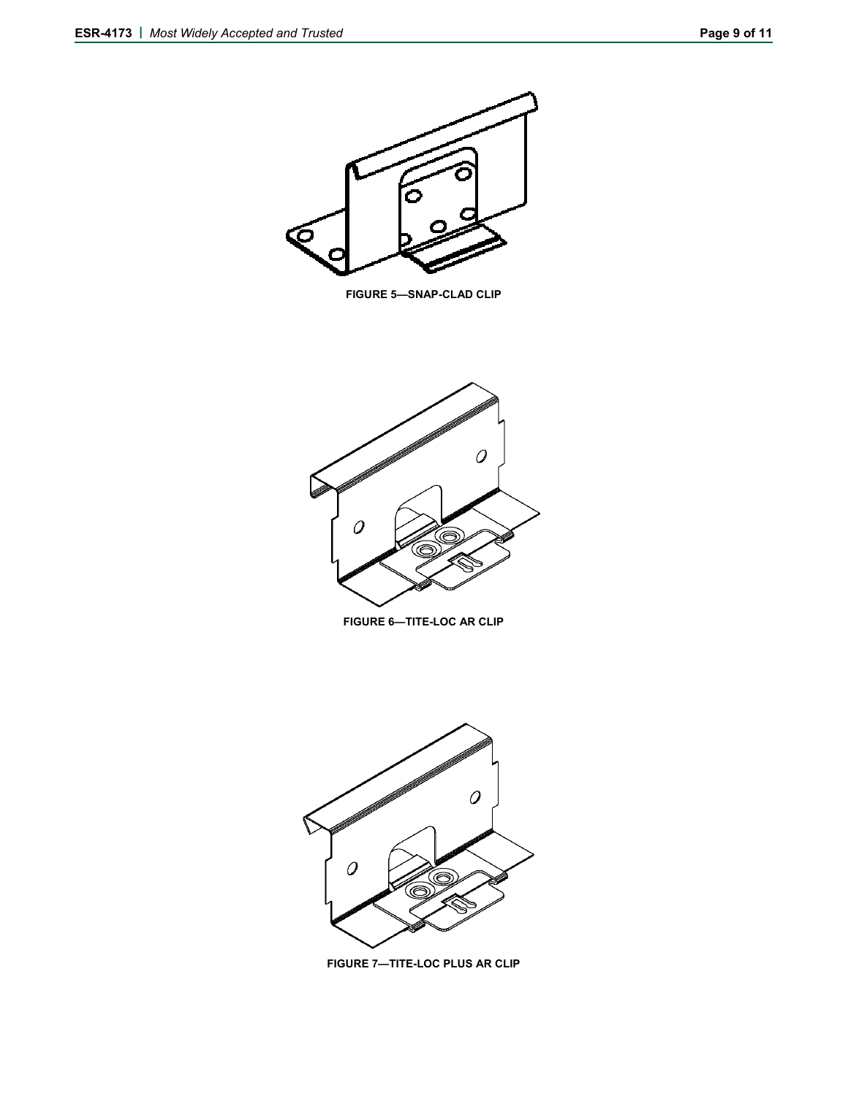

**FIGURE 5—SNAP-CLAD CLIP** 



**FIGURE 6—TITE-LOC AR CLIP** 



**FIGURE 7—TITE-LOC PLUS AR CLIP**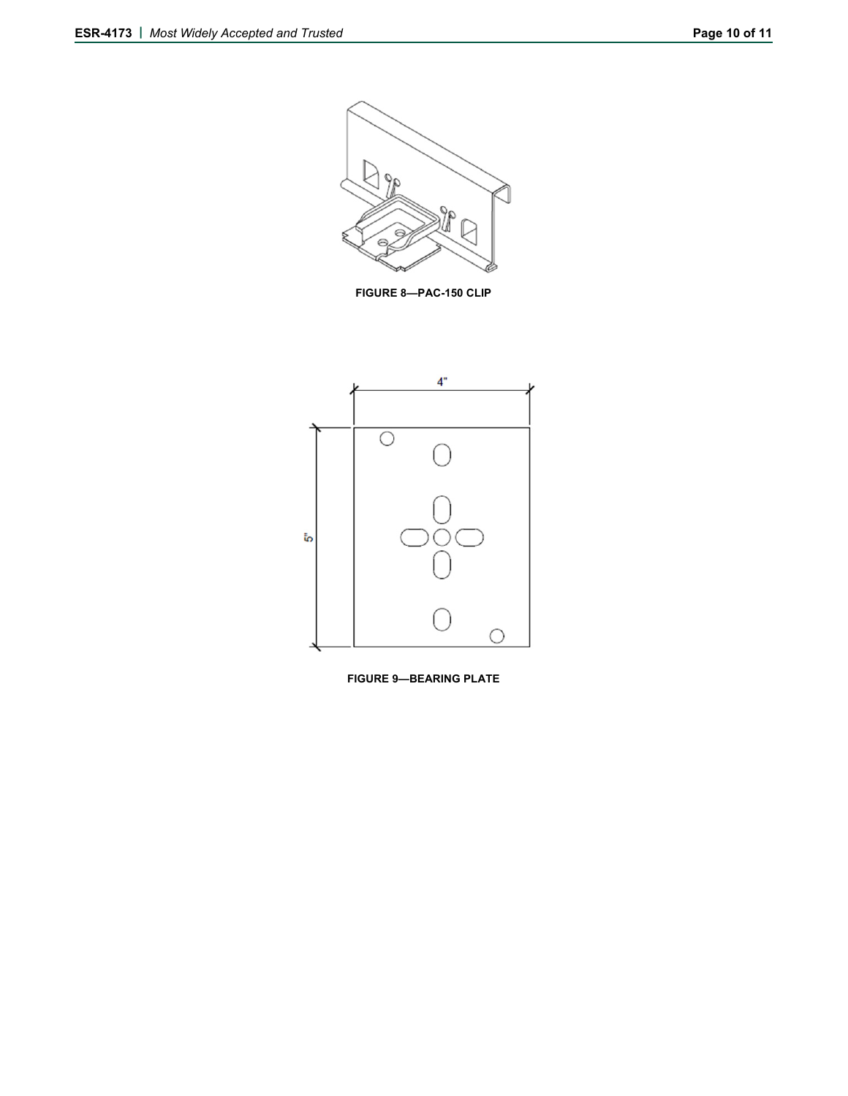

**FIGURE 8—PAC-150 CLIP**